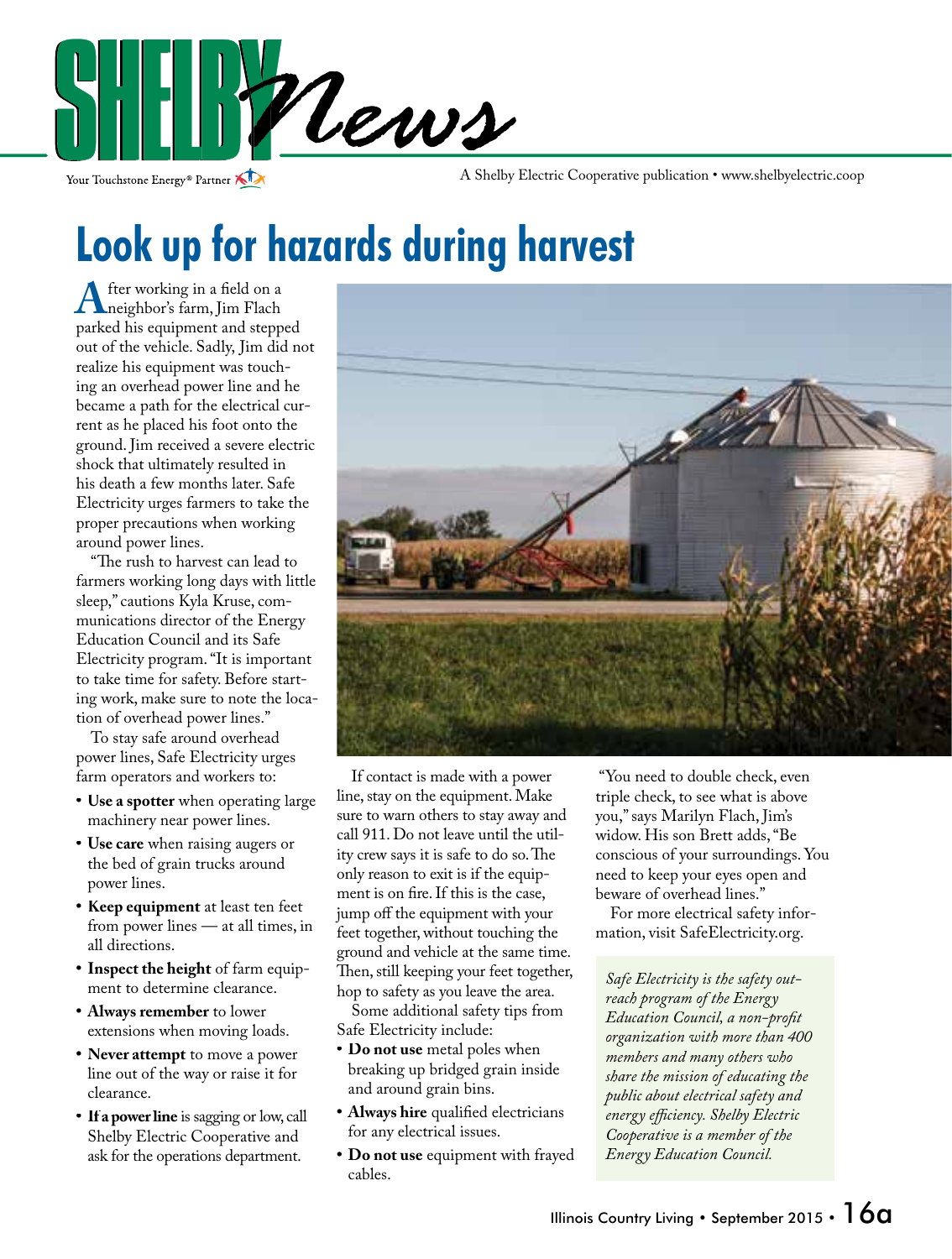

Your Touchstone Energy<sup>®</sup> Partner

A Shelby Electric Cooperative publication • www.shelbyelectric.coop

## **Look up for hazards during harvest**

**A** fter working in a field on a<br>neighbor's farm, Jim Flach<br>narked his equipment and stepp parked his equipment and stepped out of the vehicle. Sadly, Jim did not realize his equipment was touching an overhead power line and he became a path for the electrical current as he placed his foot onto the ground. Jim received a severe electric shock that ultimately resulted in his death a few months later. Safe Electricity urges farmers to take the proper precautions when working around power lines.

"The rush to harvest can lead to farmers working long days with little sleep," cautions Kyla Kruse, communications director of the Energy Education Council and its Safe Electricity program. "It is important to take time for safety. Before starting work, make sure to note the location of overhead power lines."

 To stay safe around overhead power lines, Safe Electricity urges farm operators and workers to:

- **Use a spotter** when operating large machinery near power lines.
- **Use care** when raising augers or the bed of grain trucks around power lines.
- **Keep equipment** at least ten feet from power lines — at all times, in all directions.
- **Inspect the height** of farm equipment to determine clearance.
- **Always remember** to lower extensions when moving loads.
- **Never attempt** to move a power line out of the way or raise it for clearance.
- **If a power line** is sagging or low, call Shelby Electric Cooperative and ask for the operations department.



 If contact is made with a power line, stay on the equipment. Make sure to warn others to stay away and call 911. Do not leave until the utility crew says it is safe to do so. The only reason to exit is if the equipment is on fire. If this is the case, jump off the equipment with your feet together, without touching the ground and vehicle at the same time. Then, still keeping your feet together, hop to safety as you leave the area.

 Some additional safety tips from Safe Electricity include:

- **Do not use** metal poles when breaking up bridged grain inside and around grain bins.
- Always hire qualified electricians for any electrical issues.
- **Do not use** equipment with frayed cables.

 "You need to double check, even triple check, to see what is above you," says Marilyn Flach, Jim's widow. His son Brett adds, "Be conscious of your surroundings. You need to keep your eyes open and beware of overhead lines."

 For more electrical safety information, visit SafeElectricity.org.

*Safe Electricity is the safety outreach program of the Energy Education Council, a non-profit organization with more than 400 members and many others who share the mission of educating the public about electrical safety and*   $energy$  *efficiency*. Shelby Electric *Cooperative is a member of the Energy Education Council.*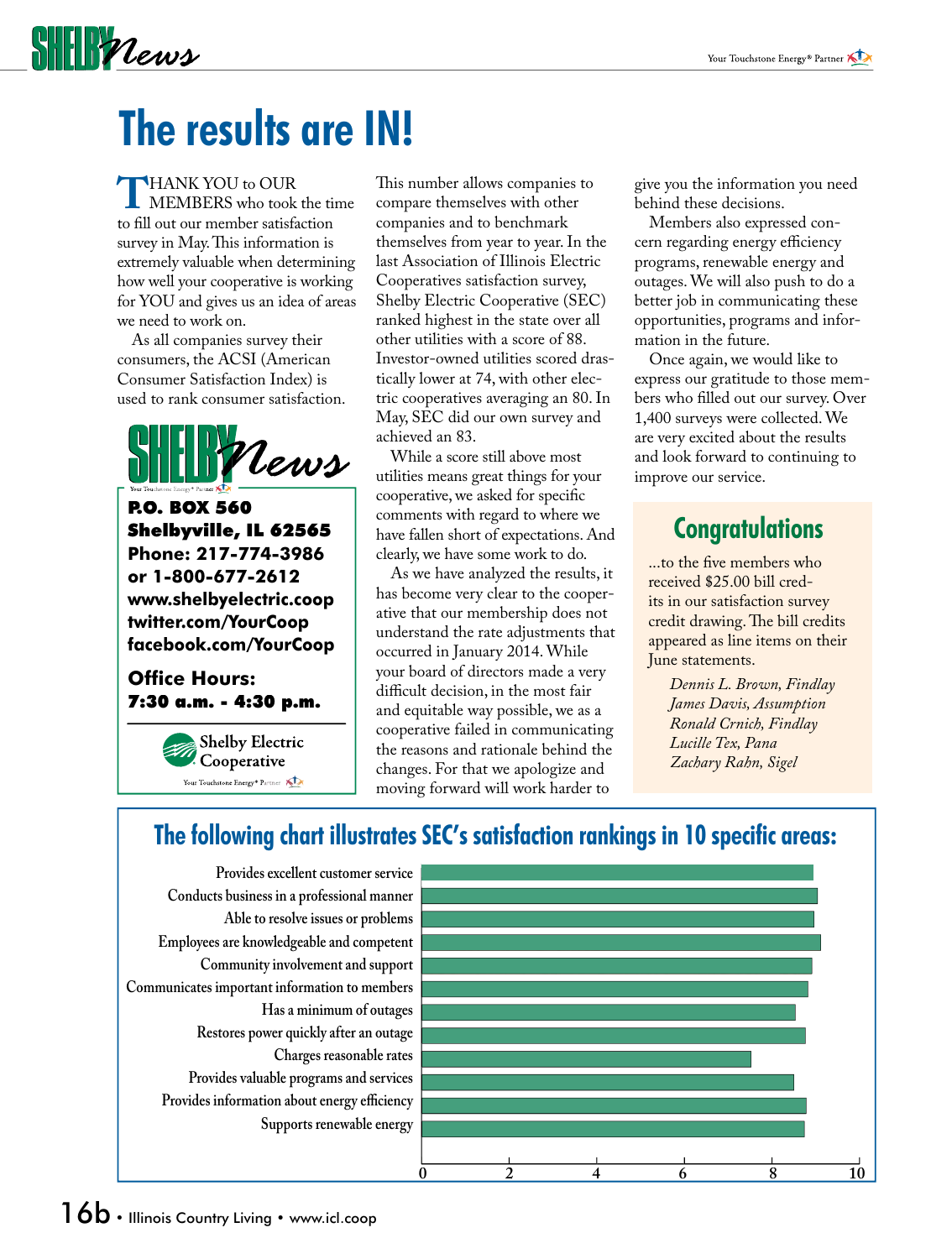# $\frac{1}{2}$

# **The results are IN!**

**THANK YOU to OUR**<br>MEMBERS who took the time<br>to fill out our member satisfaction to fill out our member satisfaction survey in May. This information is extremely valuable when determining how well your cooperative is working for YOU and gives us an idea of areas we need to work on.

 As all companies survey their consumers, the ACSI (American Consumer Satisfaction Index) is used to rank consumer satisfaction.



P.O. BOX 560 Shelbyville, IL 62565 **Phone: 217-774-3986 or 1-800-677-2612 www.shelbyelectric.coop twitter.com/YourCoop facebook.com/YourCoop**

#### **Office Hours:** 7:30 a.m. - 4:30 p.m.



This number allows companies to compare themselves with other companies and to benchmark themselves from year to year. In the last Association of Illinois Electric Cooperatives satisfaction survey, Shelby Electric Cooperative (SEC) ranked highest in the state over all other utilities with a score of 88. Investor-owned utilities scored drastically lower at 74, with other electric cooperatives averaging an 80. In May, SEC did our own survey and achieved an 83.

 While a score still above most utilities means great things for your cooperative, we asked for specific comments with regard to where we have fallen short of expectations. And clearly, we have some work to do.

 As we have analyzed the results, it has become very clear to the cooperative that our membership does not understand the rate adjustments that occurred in January 2014. While your board of directors made a very difficult decision, in the most fair and equitable way possible, we as a cooperative failed in communicating the reasons and rationale behind the changes. For that we apologize and moving forward will work harder to

give you the information you need behind these decisions.

 Members also expressed concern regarding energy efficiency programs, renewable energy and outages. We will also push to do a better job in communicating these opportunities, programs and information in the future.

 Once again, we would like to express our gratitude to those members who filled out our survey. Over 1,400 surveys were collected. We are very excited about the results and look forward to continuing to improve our service.

## **Congratulations**

...to the five members who received \$25.00 bill credits in our satisfaction survey credit drawing. The bill credits appeared as line items on their June statements.

> *Dennis L. Brown, Findlay James Davis, Assumption Ronald Crnich, Findlay Lucille Tex, Pana Zachary Rahn, Sigel*

## The following chart illustrates SEC's satisfaction rankings in 10 specific areas:

**Provides excellent customer service Conducts business in a professional manner Able to resolve issues or problems Employees are knowledgeable and competent Community involvement and support Communicates important information to members Has a minimum of outages Restores power quickly after an outage Charges reasonable rates Provides valuable programs and services** Provides information about energy efficiency **Supports renewable energy**

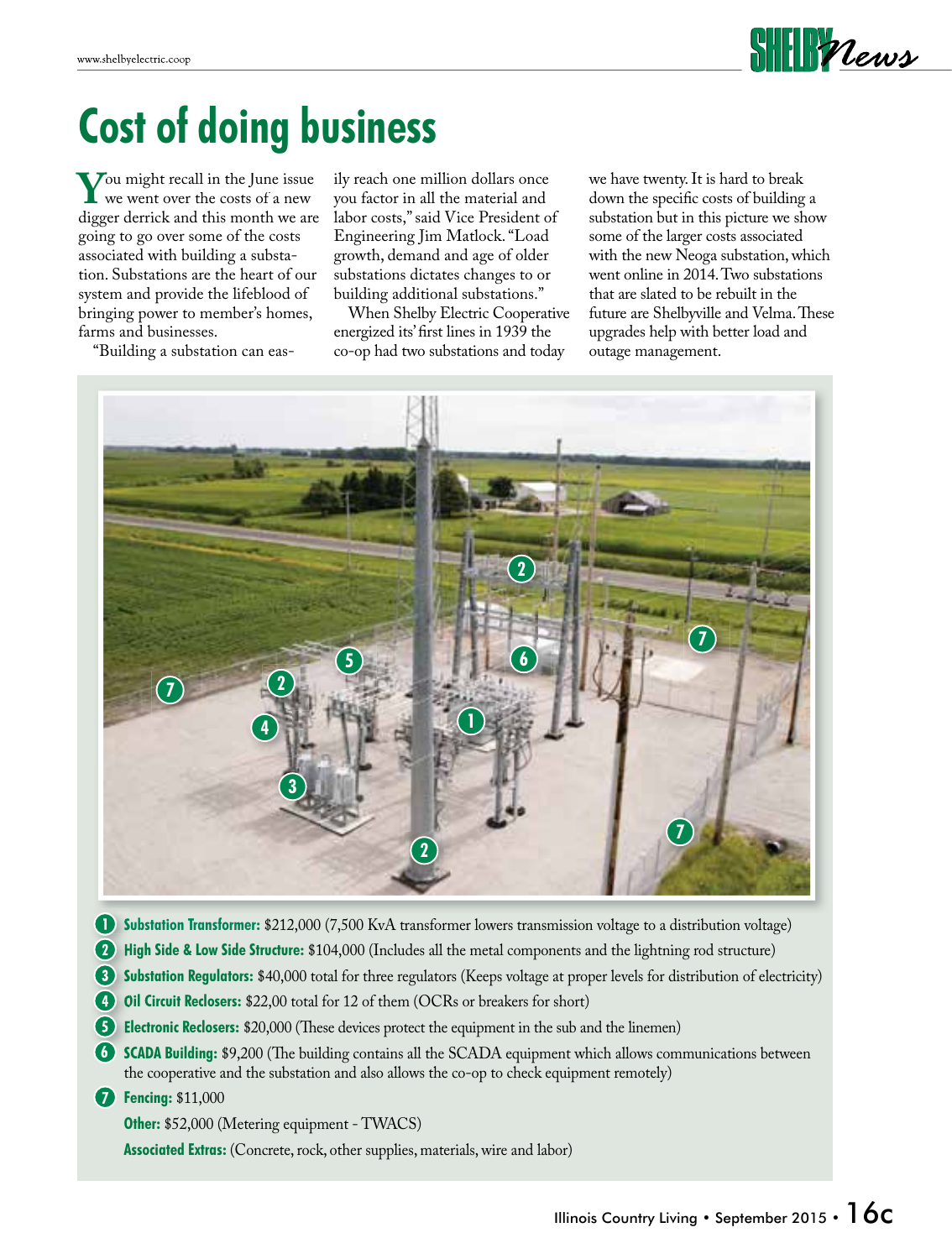

## **Cost of doing business**

**Y** Ou might recall in the June issue<br>digger derrick and this month we are digger derrick and this month we are going to go over some of the costs associated with building a substation. Substations are the heart of our system and provide the lifeblood of bringing power to member's homes, farms and businesses.

"Building a substation can eas-

ily reach one million dollars once you factor in all the material and labor costs," said Vice President of Engineering Jim Matlock. "Load growth, demand and age of older substations dictates changes to or building additional substations."

 When Shelby Electric Cooperative energized its' first lines in 1939 the co-op had two substations and today

we have twenty. It is hard to break down the specific costs of building a substation but in this picture we show some of the larger costs associated with the new Neoga substation, which went online in 2014. Two substations that are slated to be rebuilt in the future are Shelbyville and Velma. These upgrades help with better load and outage management.



- **Substation Transformer:** \$212,000 (7,500 KvA transformer lowers transmission voltage to a distribution voltage)
- **High Side & Low Side Structure:** \$104,000 (Includes all the metal components and the lightning rod structure)
- **Substation Regulators:** \$40,000 total for three regulators (Keeps voltage at proper levels for distribution of electricity)
- **Oil Circuit Reclosers:** \$22,00 total for 12 of them (OCRs or breakers for short)
- **Electronic Reclosers:** \$20,000 (These devices protect the equipment in the sub and the linemen)
- **6 SCADA Building: \$9,200** (The building contains all the SCADA equipment which allows communications between the cooperative and the substation and also allows the co-op to check equipment remotely)

**Fencing:** \$11,000 **7**

**Other:** \$52,000 (Metering equipment - TWACS)

**Associated Extras:** (Concrete, rock, other supplies, materials, wire and labor)